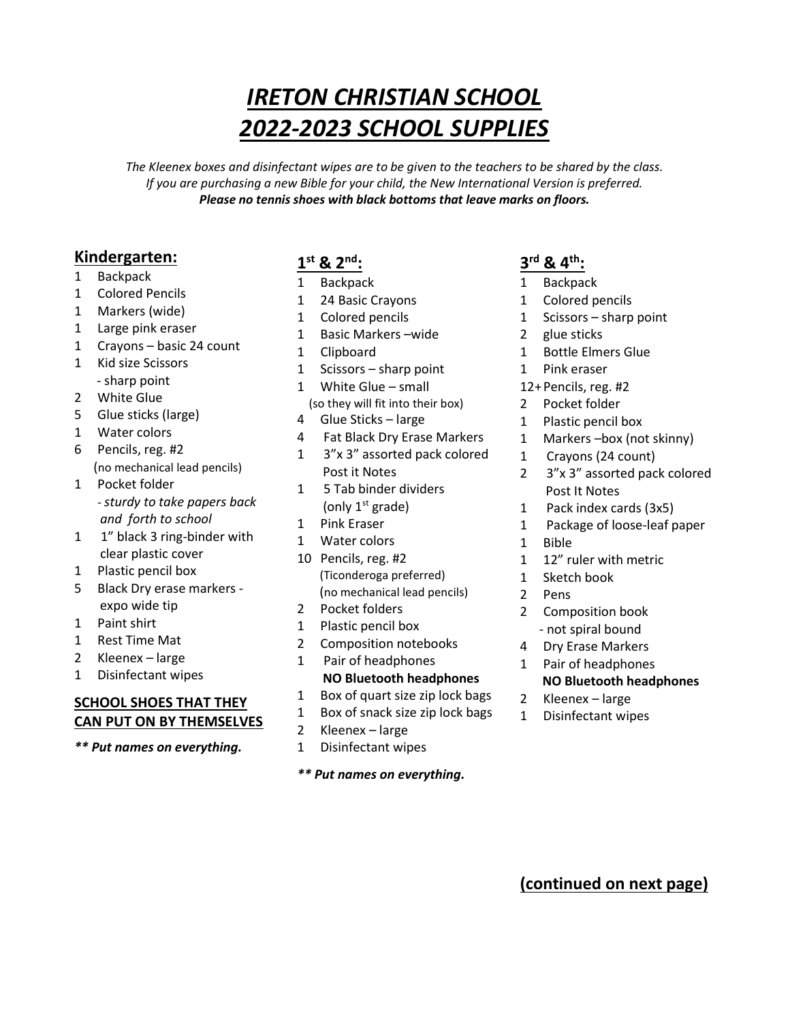# IRETON CHRISTIAN SCHOOL 2022-2023 SCHOOL SUPPLIES

The Kleenex boxes and disinfectant wipes are to be given to the teachers to be shared by the class. If you are purchasing a new Bible for your child, the New International Version is preferred. Please no tennis shoes with black bottoms that leave marks on floors.

### Kindergarten:

- 1 Backpack
- 1 Colored Pencils
- 1 Markers (wide)
- 1 Large pink eraser
- 1 Crayons basic 24 count
- 1 Kid size Scissors - sharp point
- 2 White Glue
- 5 Glue sticks (large)
- 1 Water colors
- 6 Pencils, reg. #2
- (no mechanical lead pencils) 1 Pocket folder
- sturdy to take papers back and forth to school
- 1 1" black 3 ring-binder with clear plastic cover
- 1 Plastic pencil box
- 5 Black Dry erase markers expo wide tip
- 1 Paint shirt
- 1 Rest Time Mat
- 2 Kleenex large
- 1 Disinfectant wipes

### SCHOOL SHOES THAT THEY CAN PUT ON BY THEMSELVES

\*\* Put names on everything.

# $1^{\text{st}}$  &  $2^{\text{nd}}$ :

- 1 Backpack
- 1 24 Basic Crayons
- 1 Colored pencils
- 1 Basic Markers –wide
- 1 Clipboard
- 1 Scissors sharp point
- 1 White Glue small
- (so they will fit into their box)
- 4 Glue Sticks large
- 4 Fat Black Dry Erase Markers
- 1 3"x 3" assorted pack colored Post it Notes
- 1 5 Tab binder dividers (only  $1<sup>st</sup>$  grade)
- 1 Pink Eraser
- 1 Water colors
- 10 Pencils, reg. #2 (Ticonderoga preferred) (no mechanical lead pencils)
- 2 Pocket folders
- 1 Plastic pencil box
- 2 Composition notebooks
- 1 Pair of headphones NO Bluetooth headphones
- 1 Box of quart size zip lock bags
- 1 Box of snack size zip lock bags
- 2 Kleenex large
- 1 Disinfectant wipes

#### \*\* Put names on everything.

# 3<sup>rd</sup> & 4<sup>th</sup>:

- 1 Backpack
- 1 Colored pencils
- 1 Scissors sharp point
- 2 glue sticks
- 1 Bottle Elmers Glue
- 1 Pink eraser
- 12+ Pencils, reg. #2
- 2 Pocket folder
- 1 Plastic pencil box
- 1 Markers –box (not skinny)
- 1 Crayons (24 count)
- 2 3"x 3" assorted pack colored Post It Notes
- 1 Pack index cards (3x5)
- 1 Package of loose-leaf paper
- 1 Bible
- 1 12" ruler with metric
- 1 Sketch book
- 2 Pens
- 2 Composition book
	- not spiral bound
- 4 Dry Erase Markers
- 1 Pair of headphones
	- NO Bluetooth headphones
- 2 Kleenex large
- 1 Disinfectant wipes

(continued on next page)